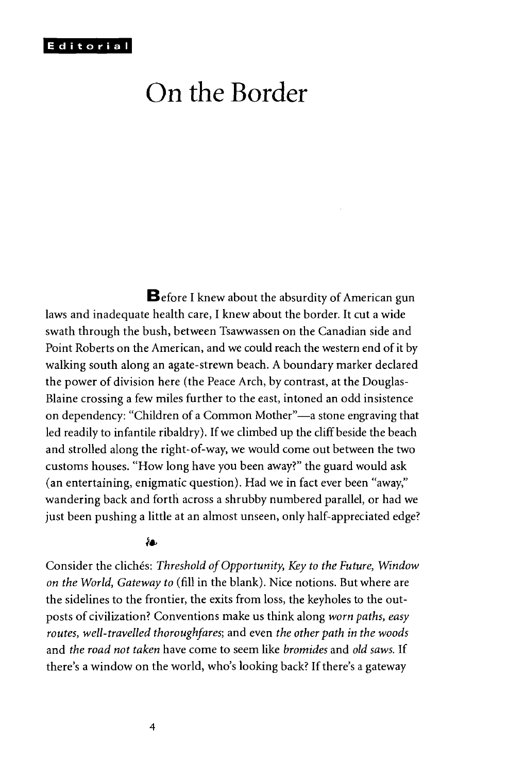# On the Border

**B**efore I knew about the absurdity of American gun laws and inadequate health care, I knew about the border. It cut a wide swath through the bush, between Tsawwassen on the Canadian side and Point Roberts on the American, and we could reach the western end of it by walking south along an agate-strewn beach. A boundary marker declared the power of division here (the Peace Arch, by contrast, at the Douglas-Blaine crossing a few miles further to the east, intoned an odd insistence on dependency: "Children of a Common Mother"—a stone engraving that led readily to infantile ribaldry). If we climbed up the cliff beside the beach and strolled along the right-of-way, we would come out between the two customs houses. "How long have you been away?" the guard would ask (an entertaining, enigmatic question). Had we in fact ever been "away," wandering back and forth across a shrubby numbered parallel, or had we just been pushing a little at an almost unseen, only half-appreciated edge?

#### ĥв.

Consider the clichés: *Threshold of Opportunity, Key to the Future, Window on the World, Gateway to* (fill in the blank). Nice notions. But where are the sidelines to the frontier, the exits from loss, the keyholes to the outposts of civilization? Conventions make us think along *worn paths, easy routes, well-travelled thoroughfares;* and even *the other path in the woods* and *the road not taken* have come to seem like *bromides* and *old saws.* If there's a window on the world, who's looking back? If there's a gateway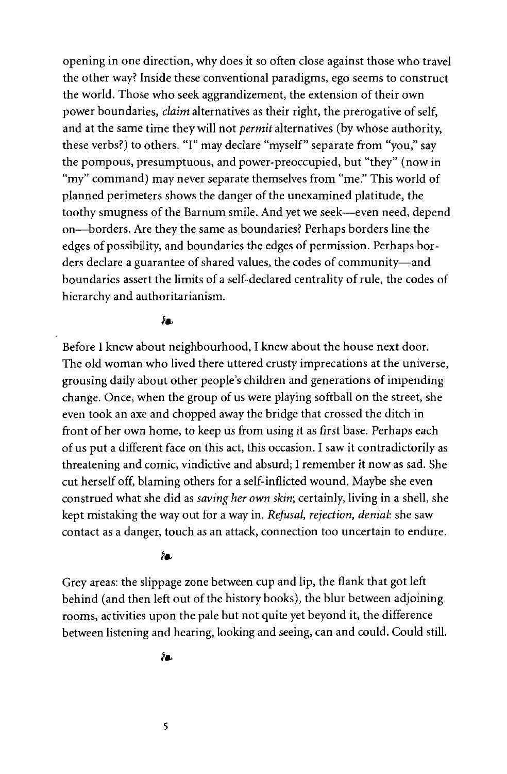opening in one direction, why does it so often close against those who travel the other way? Inside these conventional paradigms, ego seems to construct the world. Those who seek aggrandizement, the extension of their own power boundaries, *claim* alternatives as their right, the prerogative of self, and at the same time they will not *permit* alternatives (by whose authority, these verbs?) to others. "I" may declare "myself" separate from "you," say the pompous, presumptuous, and power-preoccupied, but "they" (now in "my" command) may never separate themselves from "me." This world of planned perimeters shows the danger of the unexamined platitude, the toothy smugness of the Barnum smile. And yet we seek—even need, depend on—borders. Are they the same as boundaries? Perhaps borders line the edges of possibility, and boundaries the edges of permission. Perhaps borders declare a guarantee of shared values, the codes of community—and boundaries assert the limits of a self-declared centrality of rule, the codes of hierarchy and authoritarianism.

#### λ۵.

Before I knew about neighbourhood, I knew about the house next door. The old woman who lived there uttered crusty imprecations at the universe, grousing daily about other people's children and generations of impending change. Once, when the group of us were playing softball on the street, she even took an axe and chopped away the bridge that crossed the ditch in front of her own home, to keep us from using it as first base. Perhaps each of us put a different face on this act, this occasion. I saw it contradictorily as threatening and comic, vindictive and absurd; I remember it now as sad. She cut herself off, blaming others for a self-inflicted wound. Maybe she even construed what she did as *saving her own skin;* certainly, living in a shell, she kept mistaking the way out for a way in. *Refusal, rejection, denial:* she saw contact as a danger, touch as an attack, connection too uncertain to endure.

## ۸.

Grey areas: the slippage zone between cup and lip, the flank that got left behind (and then left out of the history books), the blur between adjoining rooms, activities upon the pale but not quite yet beyond it, the difference between listening and hearing, looking and seeing, can and could. Could still.

ĥв.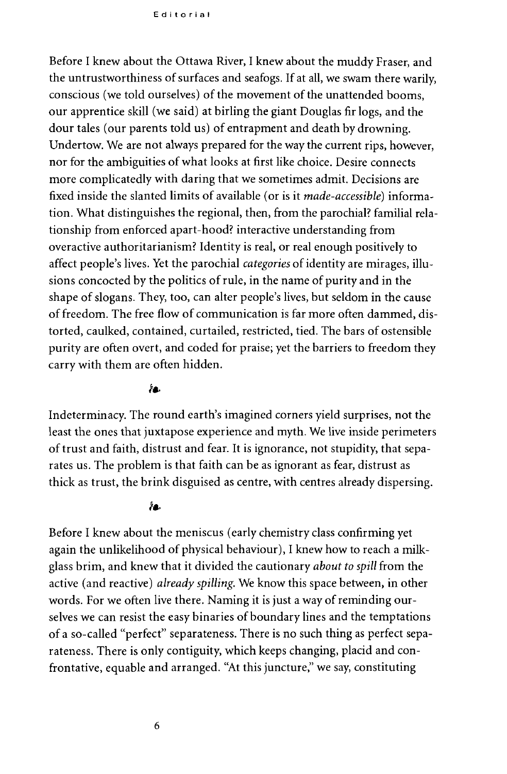Editoria l

Before I knew about the Ottawa River, I knew about the muddy Fraser, and the untrustworthiness of surfaces and seafogs. If at all, we swam there warily, conscious (we told ourselves) of the movement of the unattended booms, our apprentice skill (we said) at birling the giant Douglas fir logs, and the dour tales (our parents told us) of entrapment and death by drowning. Undertow. We are not always prepared for the way the current rips, however, nor for the ambiguities of what looks at first like choice. Desire connects more complicatedly with daring that we sometimes admit. Decisions are fixed inside the slanted limits of available (or is it *made-accessible)* information. What distinguishes the regional, then, from the parochial? familial relationship from enforced apart-hood? interactive understanding from overactive authoritarianism? Identity is real, or real enough positively to affect people's lives. Yet the parochial *categories* of identity are mirages, illusions concocted by the politics of rule, in the name of purity and in the shape of slogans. They, too, can alter people's lives, but seldom in the cause of freedom. The free flow of communication is far more often dammed, distorted, caulked, contained, curtailed, restricted, tied. The bars of ostensible purity are often overt, and coded for praise; yet the barriers to freedom they carry with them are often hidden.

## ĥа.

Indeterminacy. The round earth's imagined corners yield surprises, not the least the ones that juxtapose experience and myth. We live inside perimeters of trust and faith, distrust and fear. It is ignorance, not stupidity, that separates us. The problem is that faith can be as ignorant as fear, distrust as thick as trust, the brink disguised as centre, with centres already dispersing.

#### ÁВ.

Before I knew about the meniscus (early chemistry class confirming yet again the unlikelihood of physical behaviour), I knew how to reach a milkglass brim, and knew that it divided the cautionary *about to spill* from the active (and reactive) *already spilling.* We know this space between, in other words. For we often live there. Naming it is just a way of reminding ourselves we can resist the easy binaries of boundary lines and the temptations of a so-called "perfect" separateness. There is no such thing as perfect separateness. There is only contiguity, which keeps changing, placid and confrontative, equable and arranged. "At this juncture," we say, constituting